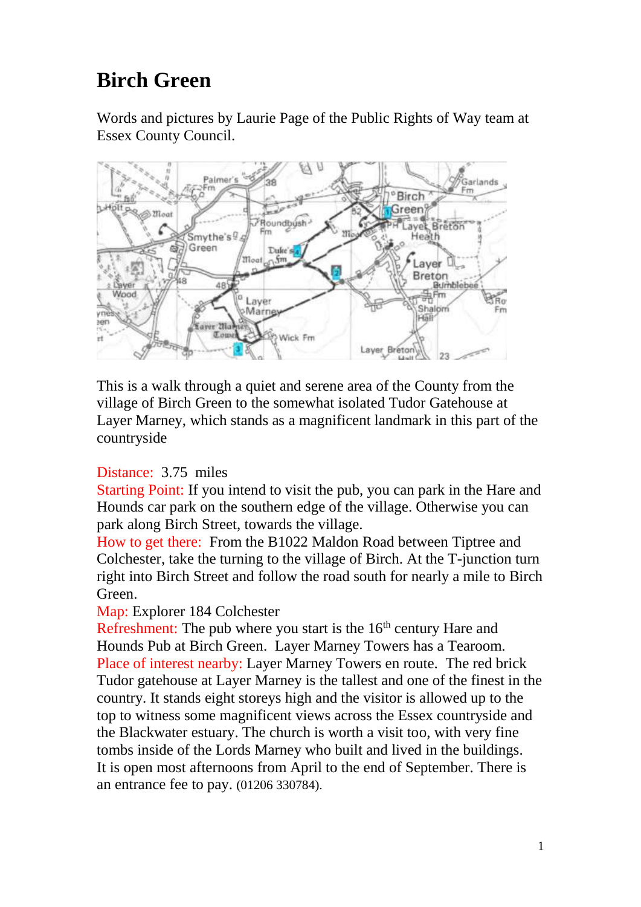## **Birch Green**

Words and pictures by Laurie Page of the Public Rights of Way team at Essex County Council.



This is a walk through a quiet and serene area of the County from the village of Birch Green to the somewhat isolated Tudor Gatehouse at Layer Marney, which stands as a magnificent landmark in this part of the countryside

## Distance: 3.75 miles

Starting Point: If you intend to visit the pub, you can park in the Hare and Hounds car park on the southern edge of the village. Otherwise you can park along Birch Street, towards the village.

How to get there: From the B1022 Maldon Road between Tiptree and Colchester, take the turning to the village of Birch. At the T-junction turn right into Birch Street and follow the road south for nearly a mile to Birch Green.

## Map: Explorer 184 Colchester

Refreshment: The pub where you start is the  $16<sup>th</sup>$  century Hare and Hounds Pub at Birch Green. Layer Marney Towers has a Tearoom. Place of interest nearby: Layer Marney Towers en route. The red brick Tudor gatehouse at Layer Marney is the tallest and one of the finest in the country. It stands eight storeys high and the visitor is allowed up to the top to witness some magnificent views across the Essex countryside and the Blackwater estuary. The church is worth a visit too, with very fine tombs inside of the Lords Marney who built and lived in the buildings. It is open most afternoons from April to the end of September. There is an entrance fee to pay. (01206 330784).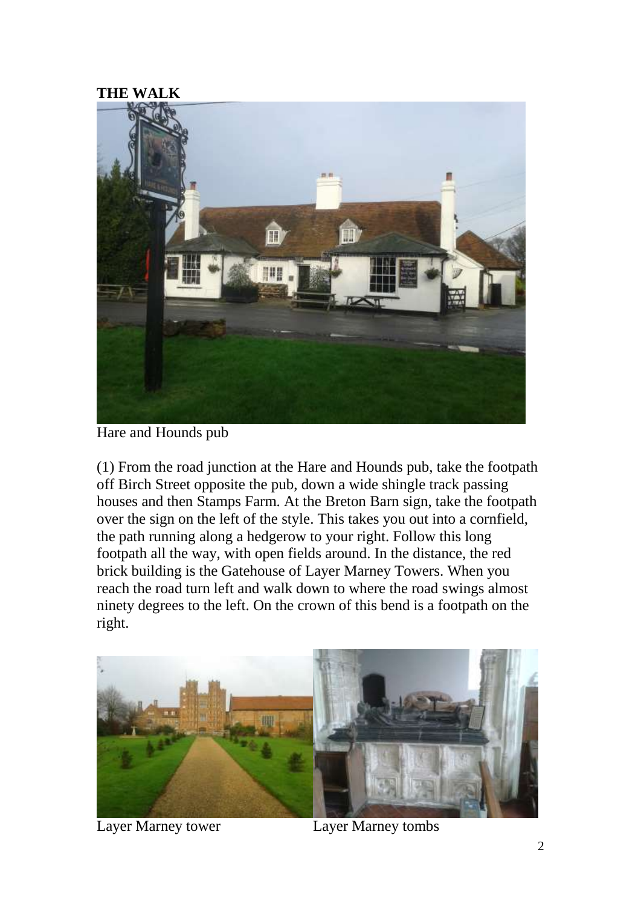## **THE WALK**



Hare and Hounds pub

(1) From the road junction at the Hare and Hounds pub, take the footpath off Birch Street opposite the pub, down a wide shingle track passing houses and then Stamps Farm. At the Breton Barn sign, take the footpath over the sign on the left of the style. This takes you out into a cornfield, the path running along a hedgerow to your right. Follow this long footpath all the way, with open fields around. In the distance, the red brick building is the Gatehouse of Layer Marney Towers. When you reach the road turn left and walk down to where the road swings almost ninety degrees to the left. On the crown of this bend is a footpath on the right.



Layer Marney tower Layer Marney tombs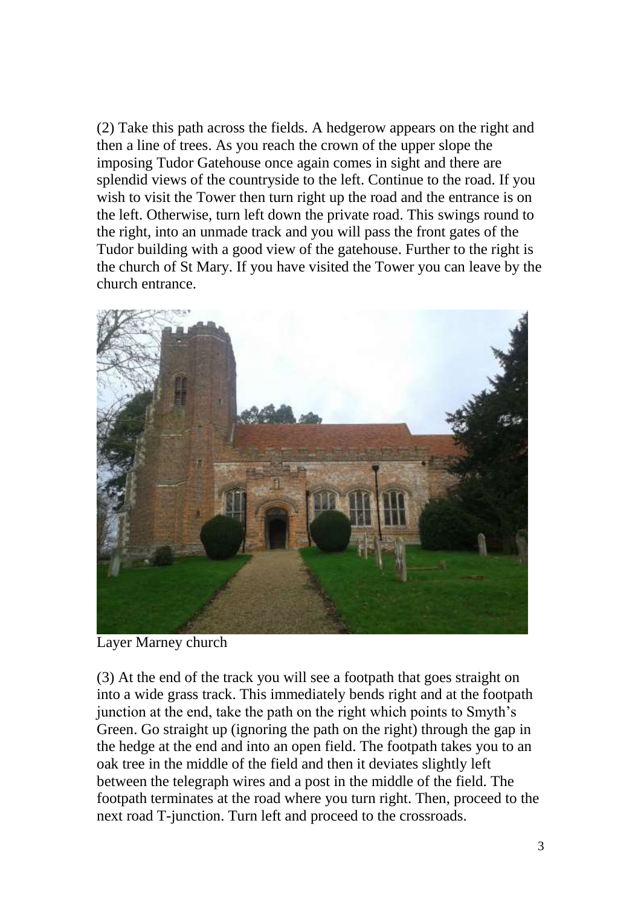(2) Take this path across the fields. A hedgerow appears on the right and then a line of trees. As you reach the crown of the upper slope the imposing Tudor Gatehouse once again comes in sight and there are splendid views of the countryside to the left. Continue to the road. If you wish to visit the Tower then turn right up the road and the entrance is on the left. Otherwise, turn left down the private road. This swings round to the right, into an unmade track and you will pass the front gates of the Tudor building with a good view of the gatehouse. Further to the right is the church of St Mary. If you have visited the Tower you can leave by the church entrance.



Layer Marney church

(3) At the end of the track you will see a footpath that goes straight on into a wide grass track. This immediately bends right and at the footpath junction at the end, take the path on the right which points to Smyth's Green. Go straight up (ignoring the path on the right) through the gap in the hedge at the end and into an open field. The footpath takes you to an oak tree in the middle of the field and then it deviates slightly left between the telegraph wires and a post in the middle of the field. The footpath terminates at the road where you turn right. Then, proceed to the next road T-junction. Turn left and proceed to the crossroads.